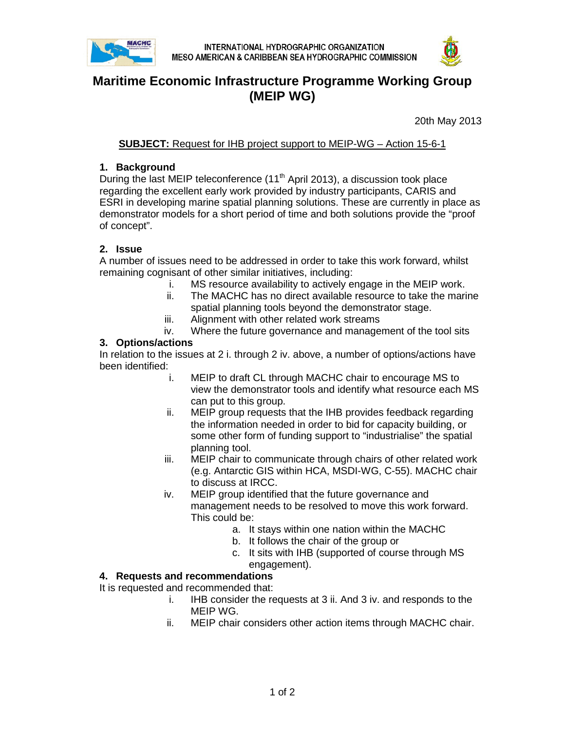



# **Maritime Economic Infrastructure Programme Working Group (MEIP WG)**

20th May 2013

**SUBJECT:** Request for IHB project support to MEIP-WG – Action 15-6-1

## **1. Background**

During the last MEIP teleconference (11<sup>th</sup> April 2013), a discussion took place regarding the excellent early work provided by industry participants, CARIS and ESRI in developing marine spatial planning solutions. These are currently in place as demonstrator models for a short period of time and both solutions provide the "proof of concept".

## **2. Issue**

A number of issues need to be addressed in order to take this work forward, whilst remaining cognisant of other similar initiatives, including:

- i. MS resource availability to actively engage in the MEIP work.
- ii. The MACHC has no direct available resource to take the marine spatial planning tools beyond the demonstrator stage.
- iii. Alignment with other related work streams
- iv. Where the future governance and management of the tool sits

#### **3. Options/actions**

In relation to the issues at 2 i. through 2 iv. above, a number of options/actions have been identified:

- i. MEIP to draft CL through MACHC chair to encourage MS to view the demonstrator tools and identify what resource each MS can put to this group.
- ii. MEIP group requests that the IHB provides feedback regarding the information needed in order to bid for capacity building, or some other form of funding support to "industrialise" the spatial planning tool.
- iii. MEIP chair to communicate through chairs of other related work (e.g. Antarctic GIS within HCA, MSDI-WG, C-55). MACHC chair to discuss at IRCC.
- iv. MEIP group identified that the future governance and management needs to be resolved to move this work forward. This could be:
	- a. It stays within one nation within the MACHC
	- b. It follows the chair of the group or
	- c. It sits with IHB (supported of course through MS engagement).

## **4. Requests and recommendations**

It is requested and recommended that:

- i. IHB consider the requests at 3 ii. And 3 iv. and responds to the MEIP WG.
- ii. MEIP chair considers other action items through MACHC chair.